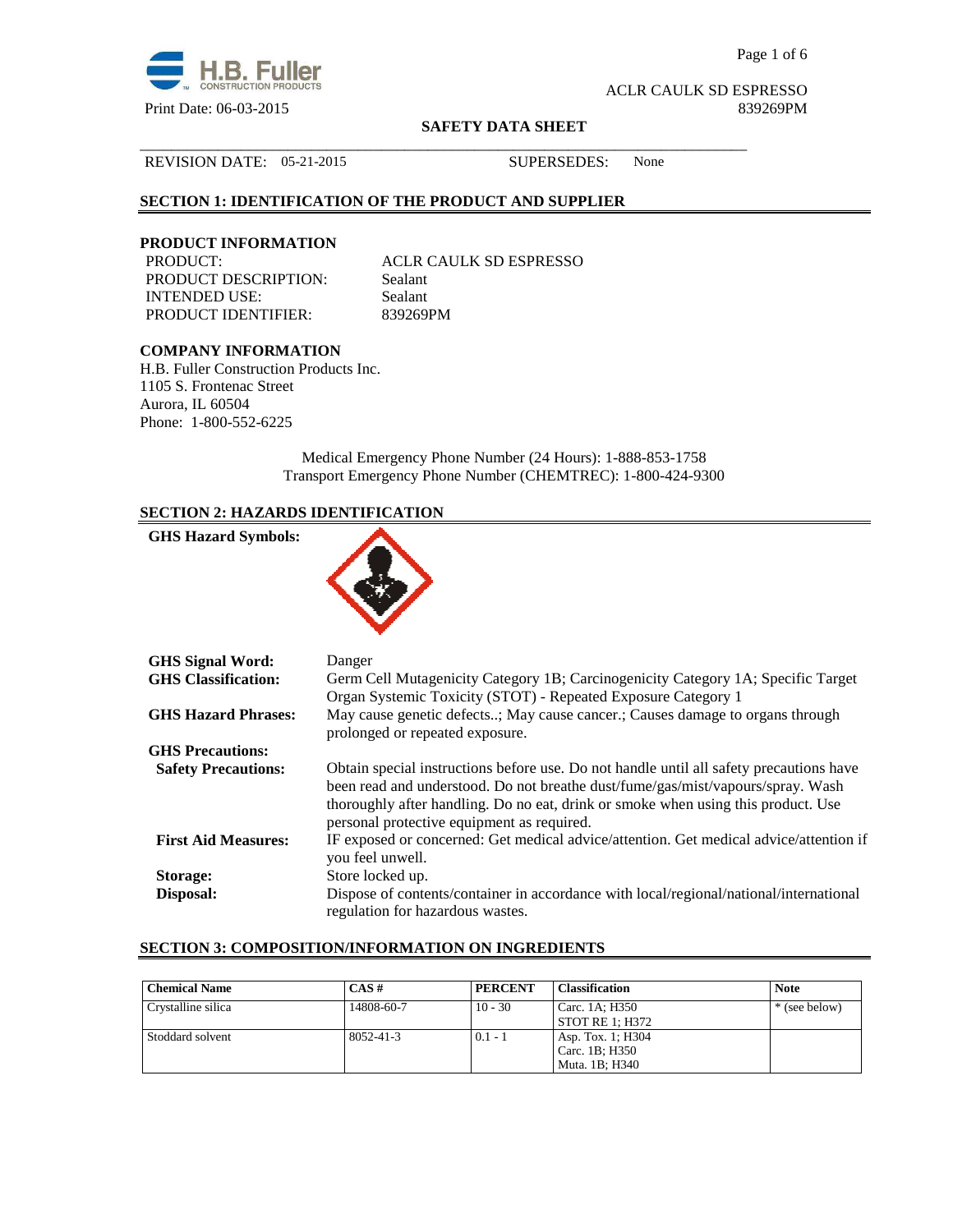

Page 1 of 6

ACLR CAULK SD ESPRESSO

#### **SAFETY DATA SHEET**

\_\_\_\_\_\_\_\_\_\_\_\_\_\_\_\_\_\_\_\_\_\_\_\_\_\_\_\_\_\_\_\_\_\_\_\_\_\_\_\_\_\_\_\_\_\_\_\_\_\_\_\_\_\_\_\_\_\_\_\_\_\_\_\_\_\_\_\_\_\_\_\_\_\_\_\_\_\_

#### REVISION DATE: 05-21-2015 SUPERSEDES: None

# **SECTION 1: IDENTIFICATION OF THE PRODUCT AND SUPPLIER**

# **PRODUCT INFORMATION**

PRODUCT DESCRIPTION: Sealant INTENDED USE: Sealant PRODUCT IDENTIFIER: 839269PM

ACLR CAULK SD ESPRESSO

# **COMPANY INFORMATION**

H.B. Fuller Construction Products Inc. 1105 S. Frontenac Street Aurora, IL 60504 Phone: 1-800-552-6225

> Medical Emergency Phone Number (24 Hours): 1-888-853-1758 Transport Emergency Phone Number (CHEMTREC): 1-800-424-9300

# **SECTION 2: HAZARDS IDENTIFICATION**

| Danger                                                                                                                                                                                                                                                                                                        |
|---------------------------------------------------------------------------------------------------------------------------------------------------------------------------------------------------------------------------------------------------------------------------------------------------------------|
| Germ Cell Mutagenicity Category 1B; Carcinogenicity Category 1A; Specific Target<br>Organ Systemic Toxicity (STOT) - Repeated Exposure Category 1                                                                                                                                                             |
| May cause genetic defects; May cause cancer.; Causes damage to organs through<br>prolonged or repeated exposure.                                                                                                                                                                                              |
|                                                                                                                                                                                                                                                                                                               |
| Obtain special instructions before use. Do not handle until all safety precautions have<br>been read and understood. Do not breathe dust/fume/gas/mist/vapours/spray. Wash<br>thoroughly after handling. Do no eat, drink or smoke when using this product. Use<br>personal protective equipment as required. |
| IF exposed or concerned: Get medical advice/attention. Get medical advice/attention if<br>you feel unwell.                                                                                                                                                                                                    |
| Store locked up.                                                                                                                                                                                                                                                                                              |
| Dispose of contents/container in accordance with local/regional/national/international<br>regulation for hazardous wastes.                                                                                                                                                                                    |
|                                                                                                                                                                                                                                                                                                               |

# **SECTION 3: COMPOSITION/INFORMATION ON INGREDIENTS**

| <b>Chemical Name</b> | $CAS \#$        | <b>PERCENT</b> | <b>Classification</b>  | <b>Note</b>   |
|----------------------|-----------------|----------------|------------------------|---------------|
| Crystalline silica   | 14808-60-7      | $10 - 30$      | Carc. 1A: H350         | * (see below) |
|                      |                 |                | <b>STOT RE 1: H372</b> |               |
| Stoddard solvent     | $8052 - 41 - 3$ | $0.1 - 1$      | Asp. Tox. 1; H304      |               |
|                      |                 |                | Carc. 1B; H350         |               |
|                      |                 |                | Muta. 1B: H340         |               |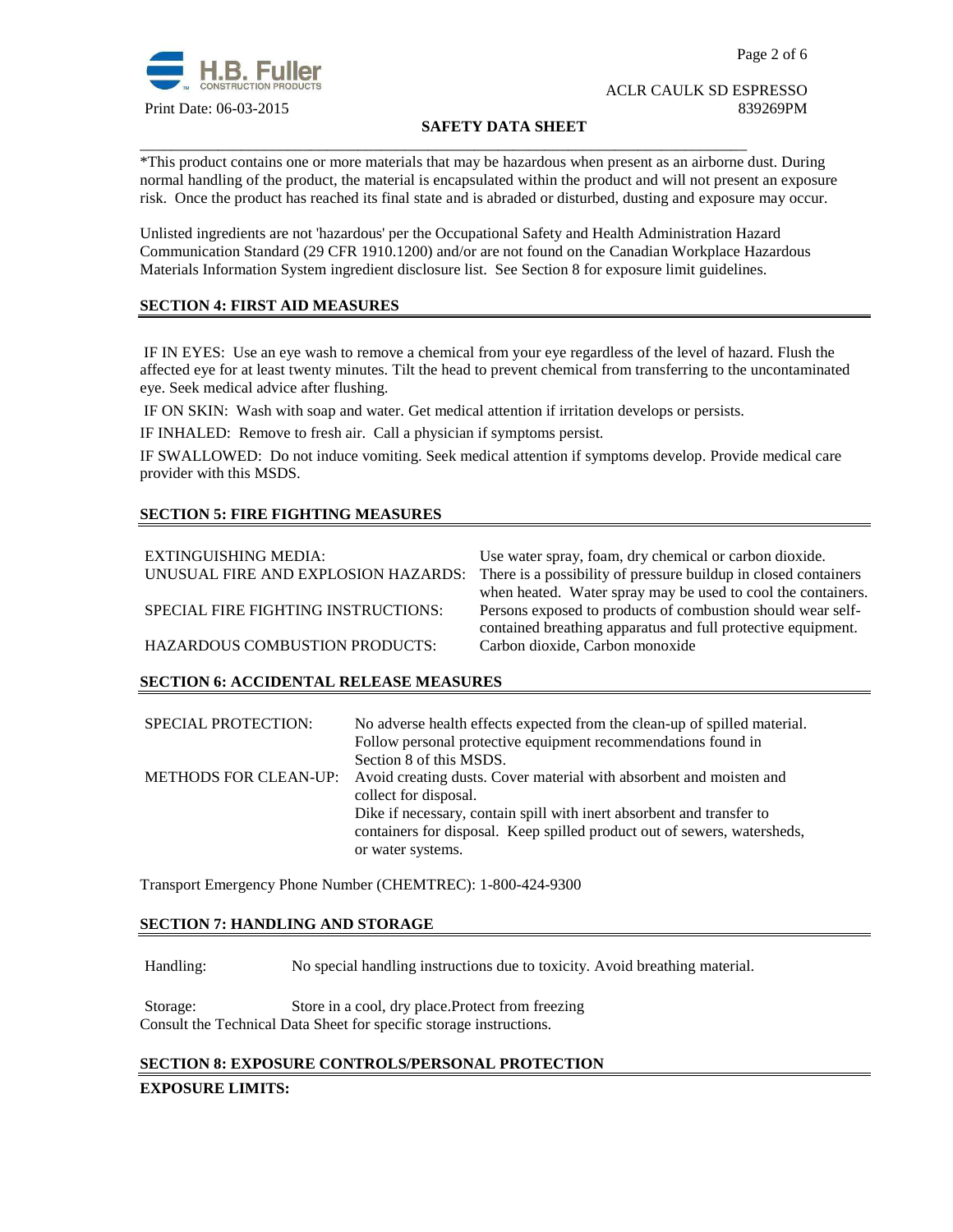

### **SAFETY DATA SHEET**

\*This product contains one or more materials that may be hazardous when present as an airborne dust. During normal handling of the product, the material is encapsulated within the product and will not present an exposure risk. Once the product has reached its final state and is abraded or disturbed, dusting and exposure may occur.

Unlisted ingredients are not 'hazardous' per the Occupational Safety and Health Administration Hazard Communication Standard (29 CFR 1910.1200) and/or are not found on the Canadian Workplace Hazardous Materials Information System ingredient disclosure list. See Section 8 for exposure limit guidelines.

\_\_\_\_\_\_\_\_\_\_\_\_\_\_\_\_\_\_\_\_\_\_\_\_\_\_\_\_\_\_\_\_\_\_\_\_\_\_\_\_\_\_\_\_\_\_\_\_\_\_\_\_\_\_\_\_\_\_\_\_\_\_\_\_\_\_\_\_\_\_\_\_\_\_\_\_\_\_

# **SECTION 4: FIRST AID MEASURES**

 IF IN EYES: Use an eye wash to remove a chemical from your eye regardless of the level of hazard. Flush the affected eye for at least twenty minutes. Tilt the head to prevent chemical from transferring to the uncontaminated eye. Seek medical advice after flushing.

IF ON SKIN: Wash with soap and water. Get medical attention if irritation develops or persists.

IF INHALED: Remove to fresh air. Call a physician if symptoms persist.

IF SWALLOWED:Do not induce vomiting. Seek medical attention if symptoms develop. Provide medical care provider with this MSDS.

# **SECTION 5: FIRE FIGHTING MEASURES**

| EXTINGUISHING MEDIA:<br>UNUSUAL FIRE AND EXPLOSION HAZARDS: | Use water spray, foam, dry chemical or carbon dioxide.<br>There is a possibility of pressure buildup in closed containers |
|-------------------------------------------------------------|---------------------------------------------------------------------------------------------------------------------------|
|                                                             | when heated. Water spray may be used to cool the containers.                                                              |
| SPECIAL FIRE FIGHTING INSTRUCTIONS:                         | Persons exposed to products of combustion should wear self-                                                               |
|                                                             | contained breathing apparatus and full protective equipment.                                                              |
| <b>HAZARDOUS COMBUSTION PRODUCTS:</b>                       | Carbon dioxide, Carbon monoxide                                                                                           |

#### **SECTION 6: ACCIDENTAL RELEASE MEASURES**

| No adverse health effects expected from the clean-up of spilled material.<br>Follow personal protective equipment recommendations found in        |
|---------------------------------------------------------------------------------------------------------------------------------------------------|
| METHODS FOR CLEAN-UP: Avoid creating dusts. Cover material with absorbent and moisten and                                                         |
| Dike if necessary, contain spill with inert absorbent and transfer to<br>containers for disposal. Keep spilled product out of sewers, watersheds, |
|                                                                                                                                                   |

Transport Emergency Phone Number (CHEMTREC): 1-800-424-9300

#### **SECTION 7: HANDLING AND STORAGE**

Handling: No special handling instructions due to toxicity. Avoid breathing material.

Storage: Store in a cool, dry place.Protect from freezing Consult the Technical Data Sheet for specific storage instructions.

#### **SECTION 8: EXPOSURE CONTROLS/PERSONAL PROTECTION**

#### **EXPOSURE LIMITS:**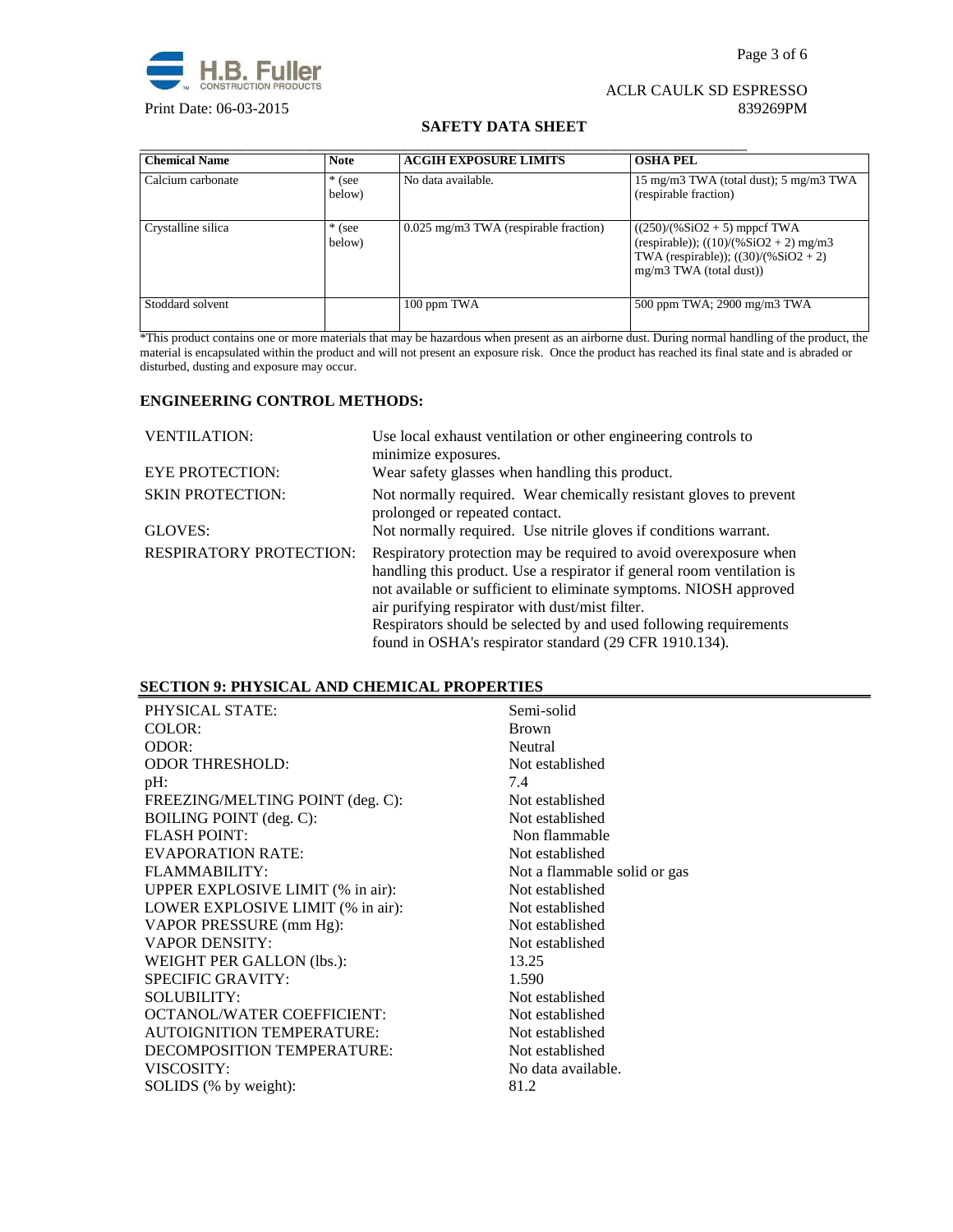

#### **SAFETY DATA SHEET**

| <b>Chemical Name</b> | <b>Note</b>        | <b>ACGIH EXPOSURE LIMITS</b>            | <b>OSHA PEL</b>                                                                                                                                    |
|----------------------|--------------------|-----------------------------------------|----------------------------------------------------------------------------------------------------------------------------------------------------|
| Calcium carbonate    | $*$ (see<br>below) | No data available.                      | 15 mg/m3 TWA (total dust); 5 mg/m3 TWA<br>(respirable fraction)                                                                                    |
| Crystalline silica   | $*$ (see<br>below) | $0.025$ mg/m3 TWA (respirable fraction) | $((250)/(%SiO2 + 5)$ mppcf TWA<br>(respirable)); $((10)/(%SiO2 + 2)$ mg/m3<br>TWA (respirable)); $((30)/(%SiO2 + 2))$<br>$mg/m3$ TWA (total dust)) |
| Stoddard solvent     |                    | 100 ppm TWA                             | 500 ppm TWA; 2900 mg/m3 TWA                                                                                                                        |

\*This product contains one or more materials that may be hazardous when present as an airborne dust. During normal handling of the product, the material is encapsulated within the product and will not present an exposure risk. Once the product has reached its final state and is abraded or disturbed, dusting and exposure may occur.

#### **ENGINEERING CONTROL METHODS:**

| <b>VENTILATION:</b>            | Use local exhaust ventilation or other engineering controls to<br>minimize exposures.                                                                                                                                                                                |
|--------------------------------|----------------------------------------------------------------------------------------------------------------------------------------------------------------------------------------------------------------------------------------------------------------------|
| <b>EYE PROTECTION:</b>         | Wear safety glasses when handling this product.                                                                                                                                                                                                                      |
| <b>SKIN PROTECTION:</b>        | Not normally required. Wear chemically resistant gloves to prevent<br>prolonged or repeated contact.                                                                                                                                                                 |
| GLOVES:                        | Not normally required. Use nitrile gloves if conditions warrant.                                                                                                                                                                                                     |
| <b>RESPIRATORY PROTECTION:</b> | Respiratory protection may be required to avoid over exposure when<br>handling this product. Use a respirator if general room ventilation is<br>not available or sufficient to eliminate symptoms. NIOSH approved<br>air purifying respirator with dust/mist filter. |
|                                | Respirators should be selected by and used following requirements                                                                                                                                                                                                    |
|                                | found in OSHA's respirator standard (29 CFR 1910.134).                                                                                                                                                                                                               |

# **SECTION 9: PHYSICAL AND CHEMICAL PROPERTIES**

| PHYSICAL STATE:                   | Semi-solid                   |
|-----------------------------------|------------------------------|
| COLOR:                            | <b>Brown</b>                 |
| ODOR:                             | Neutral                      |
| <b>ODOR THRESHOLD:</b>            | Not established              |
| pH:                               | 7.4                          |
| FREEZING/MELTING POINT (deg. C):  | Not established              |
| <b>BOILING POINT</b> (deg. C):    | Not established              |
| <b>FLASH POINT:</b>               | Non flammable                |
| <b>EVAPORATION RATE:</b>          | Not established              |
| FLAMMABILITY:                     | Not a flammable solid or gas |
| UPPER EXPLOSIVE LIMIT (% in air): | Not established              |
| LOWER EXPLOSIVE LIMIT (% in air): | Not established              |
| VAPOR PRESSURE (mm Hg):           | Not established              |
| <b>VAPOR DENSITY:</b>             | Not established              |
| WEIGHT PER GALLON (lbs.):         | 13.25                        |
| <b>SPECIFIC GRAVITY:</b>          | 1.590                        |
| <b>SOLUBILITY:</b>                | Not established              |
| <b>OCTANOL/WATER COEFFICIENT:</b> | Not established              |
| <b>AUTOIGNITION TEMPERATURE:</b>  | Not established              |
| DECOMPOSITION TEMPERATURE:        | Not established              |
| VISCOSITY:                        | No data available.           |
| SOLIDS (% by weight):             | 81.2                         |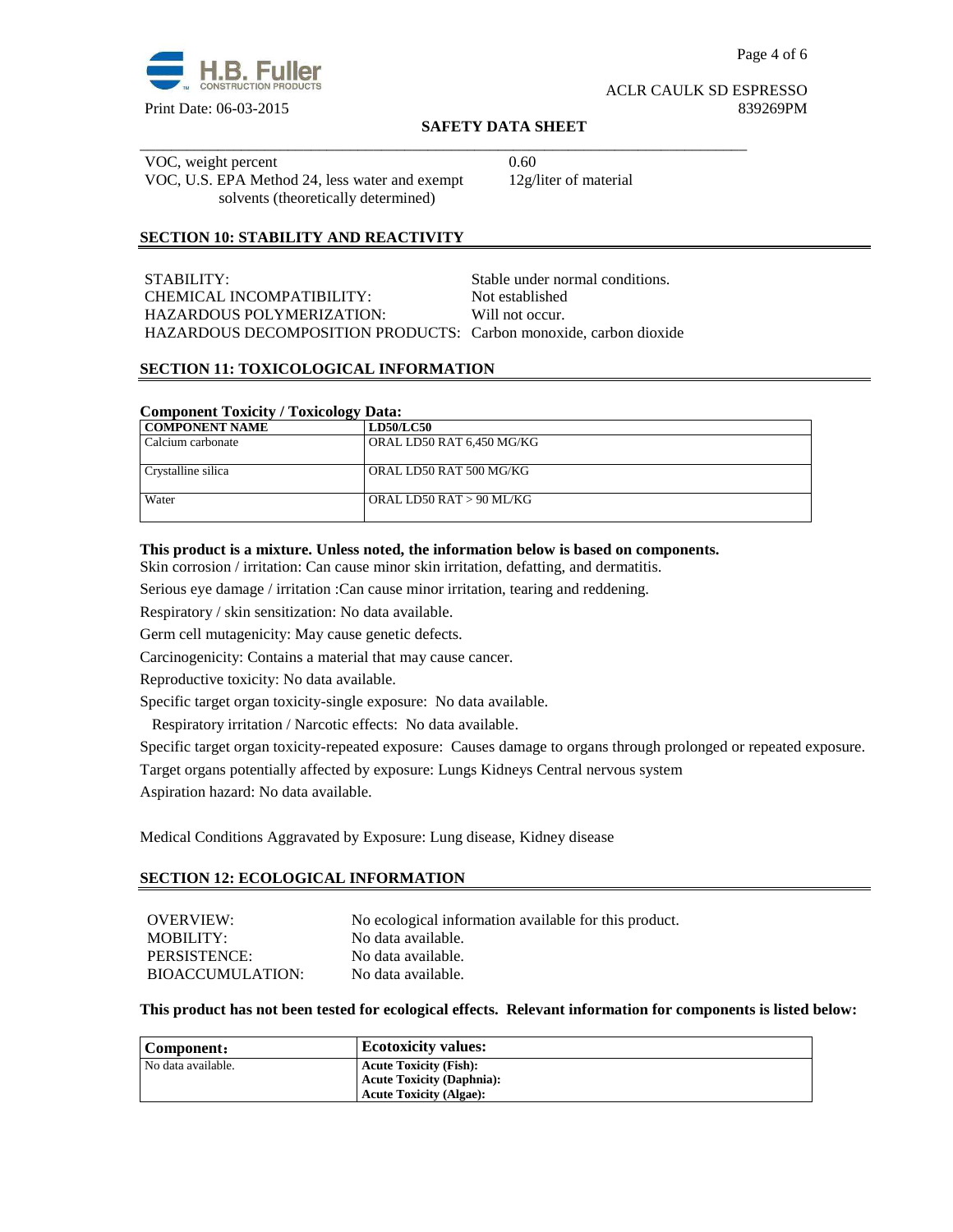

Page 4 of 6

#### ACLR CAULK SD ESPRESSO Print Date: 06-03-2015 839269PM

#### **SAFETY DATA SHEET**

\_\_\_\_\_\_\_\_\_\_\_\_\_\_\_\_\_\_\_\_\_\_\_\_\_\_\_\_\_\_\_\_\_\_\_\_\_\_\_\_\_\_\_\_\_\_\_\_\_\_\_\_\_\_\_\_\_\_\_\_\_\_\_\_\_\_\_\_\_\_\_\_\_\_\_\_\_\_ VOC, weight percent 0.60 VOC, U.S. EPA Method 24, less water and exempt solvents (theoretically determined)

12g/liter of material

# **SECTION 10: STABILITY AND REACTIVITY**

| STABILITY:                                                        | Stable under normal conditions. |
|-------------------------------------------------------------------|---------------------------------|
| CHEMICAL INCOMPATIBILITY:                                         | Not established                 |
| HAZARDOUS POLYMERIZATION:                                         | Will not occur.                 |
| HAZARDOUS DECOMPOSITION PRODUCTS: Carbon monoxide, carbon dioxide |                                 |

#### **SECTION 11: TOXICOLOGICAL INFORMATION**

#### **Component Toxicity / Toxicology Data:**

| <b>COMPONENT NAME</b> | <b>LD50/LC50</b>          |
|-----------------------|---------------------------|
| Calcium carbonate     | ORAL LD50 RAT 6,450 MG/KG |
|                       |                           |
| Crystalline silica    | ORAL LD50 RAT 500 MG/KG   |
|                       |                           |
| Water                 | ORAL LD50 RAT $>90$ ML/KG |
|                       |                           |

#### **This product is a mixture. Unless noted, the information below is based on components.**

Skin corrosion / irritation: Can cause minor skin irritation, defatting, and dermatitis.

Serious eye damage / irritation :Can cause minor irritation, tearing and reddening.

Respiratory / skin sensitization: No data available.

Germ cell mutagenicity: May cause genetic defects.

Carcinogenicity: Contains a material that may cause cancer.

Reproductive toxicity: No data available.

Specific target organ toxicity-single exposure:No data available.

Respiratory irritation / Narcotic effects: No data available.

Specific target organ toxicity-repeated exposure:Causes damage to organs through prolonged or repeated exposure.

Target organs potentially affected by exposure: Lungs Kidneys Central nervous system

Aspiration hazard: No data available.

Medical Conditions Aggravated by Exposure: Lung disease, Kidney disease

#### **SECTION 12: ECOLOGICAL INFORMATION**

| OVERVIEW:        | No ecological information available for this product. |
|------------------|-------------------------------------------------------|
| MOBILITY:        | No data available.                                    |
| PERSISTENCE:     | No data available.                                    |
| BIOACCUMULATION: | No data available.                                    |

#### **This product has not been tested for ecological effects. Relevant information for components is listed below:**

| Component:         | <b>Ecotoxicity values:</b>       |
|--------------------|----------------------------------|
| No data available. | <b>Acute Toxicity (Fish):</b>    |
|                    | <b>Acute Toxicity (Daphnia):</b> |
|                    | <b>Acute Toxicity (Algae):</b>   |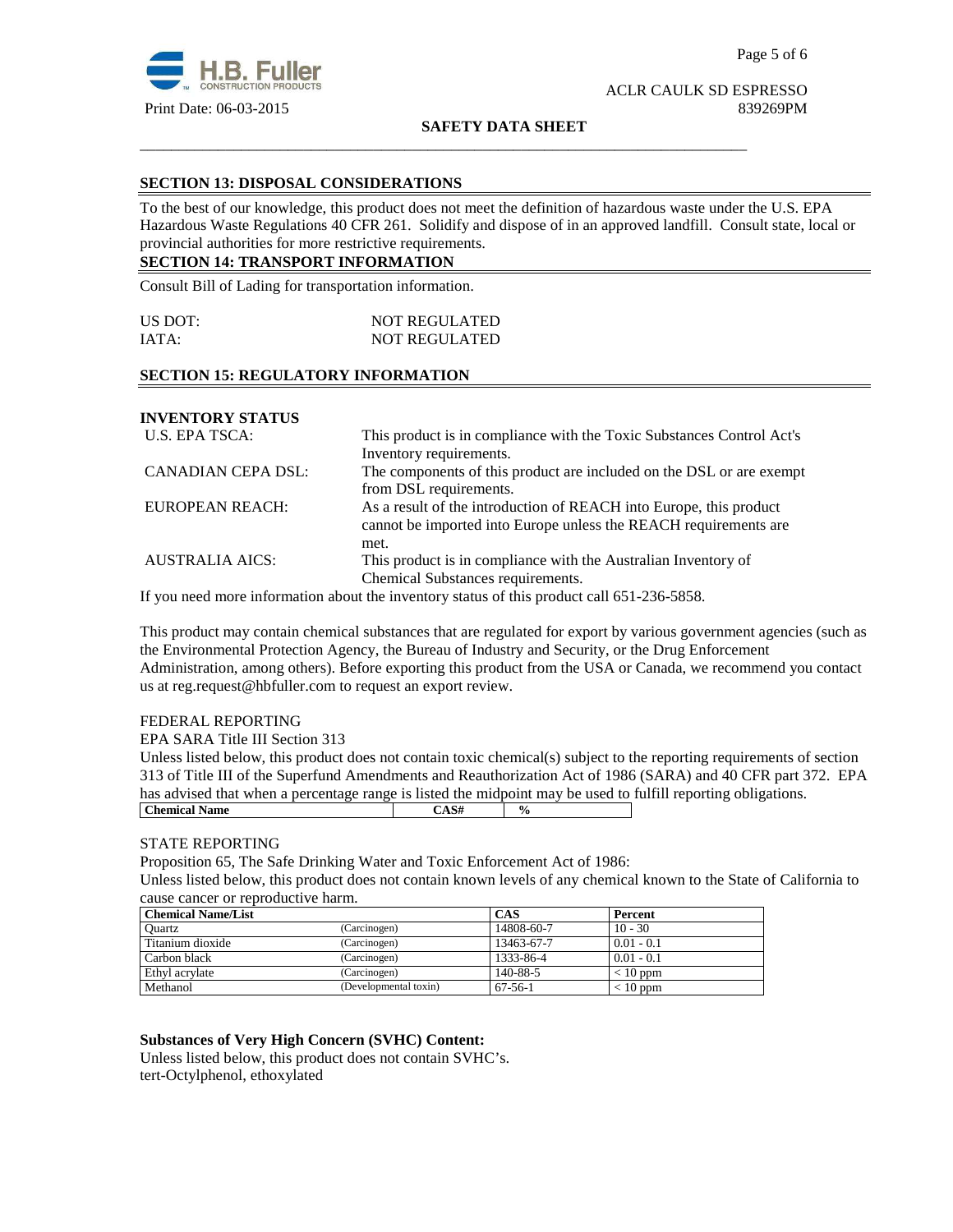

#### **SAFETY DATA SHEET**

\_\_\_\_\_\_\_\_\_\_\_\_\_\_\_\_\_\_\_\_\_\_\_\_\_\_\_\_\_\_\_\_\_\_\_\_\_\_\_\_\_\_\_\_\_\_\_\_\_\_\_\_\_\_\_\_\_\_\_\_\_\_\_\_\_\_\_\_\_\_\_\_\_\_\_\_\_\_

#### **SECTION 13: DISPOSAL CONSIDERATIONS**

To the best of our knowledge, this product does not meet the definition of hazardous waste under the U.S. EPA Hazardous Waste Regulations 40 CFR 261. Solidify and dispose of in an approved landfill. Consult state, local or provincial authorities for more restrictive requirements.

# **SECTION 14: TRANSPORT INFORMATION**

Consult Bill of Lading for transportation information.

| US DOT: | <b>NOT REGULATED</b> |
|---------|----------------------|
| IATA:   | <b>NOT REGULATED</b> |

# **SECTION 15: REGULATORY INFORMATION**

# **INVENTORY STATUS**

| U.S. EPA TSCA:            | This product is in compliance with the Toxic Substances Control Act's |  |  |
|---------------------------|-----------------------------------------------------------------------|--|--|
|                           | Inventory requirements.                                               |  |  |
| <b>CANADIAN CEPA DSL:</b> | The components of this product are included on the DSL or are exempt  |  |  |
|                           | from DSL requirements.                                                |  |  |
| EUROPEAN REACH:           | As a result of the introduction of REACH into Europe, this product    |  |  |
|                           | cannot be imported into Europe unless the REACH requirements are      |  |  |
|                           | met.                                                                  |  |  |
| <b>AUSTRALIA AICS:</b>    | This product is in compliance with the Australian Inventory of        |  |  |
|                           | Chemical Substances requirements.                                     |  |  |

If you need more information about the inventory status of this product call 651-236-5858.

This product may contain chemical substances that are regulated for export by various government agencies (such as the Environmental Protection Agency, the Bureau of Industry and Security, or the Drug Enforcement Administration, among others). Before exporting this product from the USA or Canada, we recommend you contact us at reg.request@hbfuller.com to request an export review.

#### FEDERAL REPORTING

EPA SARA Title III Section 313

Unless listed below, this product does not contain toxic chemical(s) subject to the reporting requirements of section 313 of Title III of the Superfund Amendments and Reauthorization Act of 1986 (SARA) and 40 CFR part 372. EPA has advised that when a percentage range is listed the midpoint may be used to fulfill reporting obligations. **Chemical Name**  $\qquad \qquad$   $\qquad \qquad$   $\qquad \qquad$   $\qquad \qquad$   $\qquad \qquad$   $\qquad \qquad$   $\qquad \qquad$   $\qquad \qquad$   $\qquad \qquad$   $\qquad \qquad$   $\qquad \qquad$   $\qquad \qquad$   $\qquad \qquad$   $\qquad \qquad$   $\qquad \qquad$   $\qquad \qquad$   $\qquad \qquad$   $\qquad \qquad$   $\qquad \qquad$   $\qquad \qquad$   $\qquad \qquad$   $\qquad \qquad$   $\qquad \qquad$ 

#### STATE REPORTING

Proposition 65, The Safe Drinking Water and Toxic Enforcement Act of 1986:

Unless listed below, this product does not contain known levels of any chemical known to the State of California to cause cancer or reproductive harm.

| <b>Chemical Name/List</b> |                       | <b>CAS</b> | Percent      |
|---------------------------|-----------------------|------------|--------------|
| Ouartz                    | (Carcinogen)          | 14808-60-7 | $10 - 30$    |
| Titanium dioxide          | (Carcinogen)          | 13463-67-7 | $0.01 - 0.1$ |
| Carbon black              | (Carcinogen)          | 1333-86-4  | $0.01 - 0.1$ |
| Ethyl acrylate            | (Carcinogen)          | 140-88-5   | $< 10$ ppm   |
| Methanol                  | (Developmental toxin) | $67-56-1$  | $< 10$ ppm   |

#### **Substances of Very High Concern (SVHC) Content:**

Unless listed below, this product does not contain SVHC's. tert-Octylphenol, ethoxylated